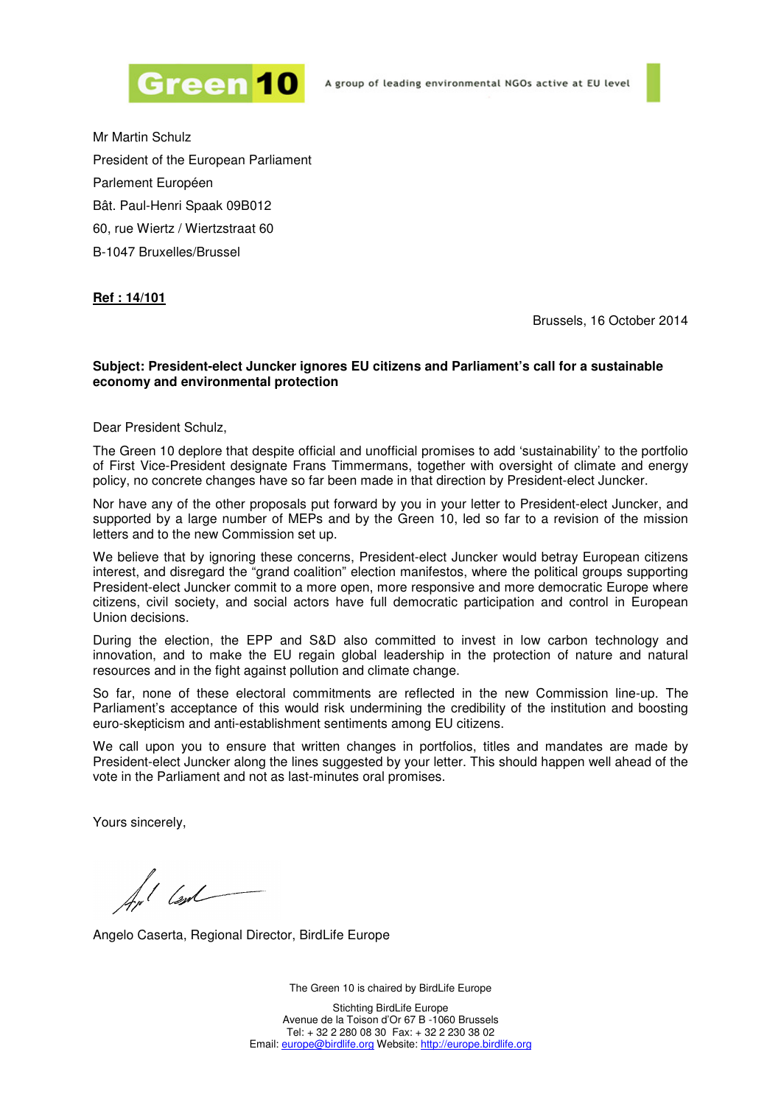



Mr Martin Schulz President of the European Parliament Parlement Européen Bât. Paul-Henri Spaak 09B012 60, rue Wiertz / Wiertzstraat 60 B-1047 Bruxelles/Brussel

## **Ref : 14/101**

Brussels, 16 October 2014

## **Subject: President-elect Juncker ignores EU citizens and Parliament's call for a sustainable economy and environmental protection**

Dear President Schulz,

The Green 10 deplore that despite official and unofficial promises to add 'sustainability' to the portfolio of First Vice-President designate Frans Timmermans, together with oversight of climate and energy policy, no concrete changes have so far been made in that direction by President-elect Juncker.

Nor have any of the other proposals put forward by you in your letter to President-elect Juncker, and supported by a large number of MEPs and by the Green 10, led so far to a revision of the mission letters and to the new Commission set up.

We believe that by ignoring these concerns, President-elect Juncker would betray European citizens interest, and disregard the "grand coalition" election manifestos, where the political groups supporting President-elect Juncker commit to a more open, more responsive and more democratic Europe where citizens, civil society, and social actors have full democratic participation and control in European Union decisions.

During the election, the EPP and S&D also committed to invest in low carbon technology and innovation, and to make the EU regain global leadership in the protection of nature and natural resources and in the fight against pollution and climate change.

So far, none of these electoral commitments are reflected in the new Commission line-up. The Parliament's acceptance of this would risk undermining the credibility of the institution and boosting euro-skepticism and anti-establishment sentiments among EU citizens.

We call upon you to ensure that written changes in portfolios, titles and mandates are made by President-elect Juncker along the lines suggested by your letter. This should happen well ahead of the vote in the Parliament and not as last-minutes oral promises.

Yours sincerely,

/<br>// lex/

Angelo Caserta, Regional Director, BirdLife Europe

The Green 10 is chaired by BirdLife Europe